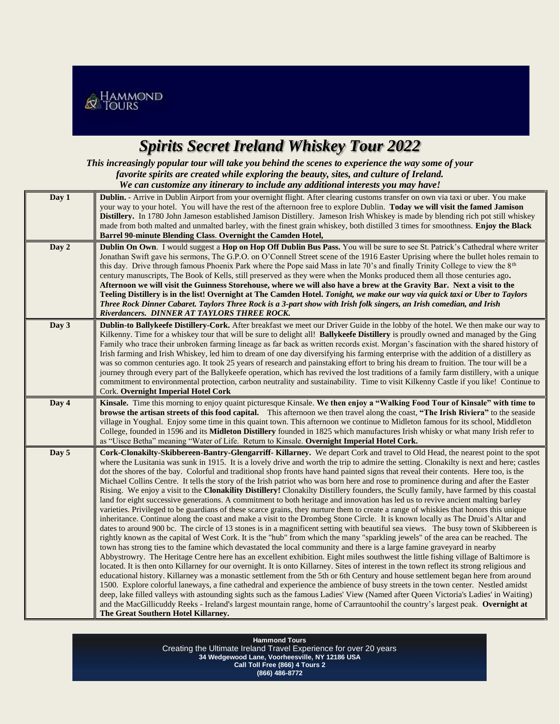

## *Spirits Secret Ireland Whiskey Tour 2022*

*This increasingly popular tour will take you behind the scenes to experience the way some of your favorite spirits are created while exploring the beauty, sites, and culture of Ireland. We can customize any itinerary to include any additional interests you may have!*

| Day 1 | Dublin. - Arrive in Dublin Airport from your overnight flight. After clearing customs transfer on own via taxi or uber. You make<br>your way to your hotel. You will have the rest of the afternoon free to explore Dublin. Today we will visit the famed Jamison<br>Distillery. In 1780 John Jameson established Jamison Distillery. Jameson Irish Whiskey is made by blending rich pot still whiskey<br>made from both malted and unmalted barley, with the finest grain whiskey, both distilled 3 times for smoothness. Enjoy the Black<br>Barrel 90-minute Blending Class. Overnight the Camden Hotel,                                                                                                                                                                                                                                                                                                                                                                                                                                                                                                                                                                                                                                                                                                                                                                                                                                                                                                                                                                                                                                                                                                                                                                                                                                                                                                                                                                                                                                                                                                                                                                                                                                                                                                                                                                                                      |
|-------|-----------------------------------------------------------------------------------------------------------------------------------------------------------------------------------------------------------------------------------------------------------------------------------------------------------------------------------------------------------------------------------------------------------------------------------------------------------------------------------------------------------------------------------------------------------------------------------------------------------------------------------------------------------------------------------------------------------------------------------------------------------------------------------------------------------------------------------------------------------------------------------------------------------------------------------------------------------------------------------------------------------------------------------------------------------------------------------------------------------------------------------------------------------------------------------------------------------------------------------------------------------------------------------------------------------------------------------------------------------------------------------------------------------------------------------------------------------------------------------------------------------------------------------------------------------------------------------------------------------------------------------------------------------------------------------------------------------------------------------------------------------------------------------------------------------------------------------------------------------------------------------------------------------------------------------------------------------------------------------------------------------------------------------------------------------------------------------------------------------------------------------------------------------------------------------------------------------------------------------------------------------------------------------------------------------------------------------------------------------------------------------------------------------------|
| Day 2 | Dublin On Own. I would suggest a Hop on Hop Off Dublin Bus Pass. You will be sure to see St. Patrick's Cathedral where writer<br>Jonathan Swift gave his sermons, The G.P.O. on O'Connell Street scene of the 1916 Easter Uprising where the bullet holes remain to<br>this day. Drive through famous Phoenix Park where the Pope said Mass in late 70's and finally Trinity College to view the $8th$<br>century manuscripts, The Book of Kells, still preserved as they were when the Monks produced them all those centuries ago.<br>Afternoon we will visit the Guinness Storehouse, where we will also have a brew at the Gravity Bar. Next a visit to the<br>Teeling Distillery is in the list! Overnight at The Camden Hotel. Tonight, we make our way via quick taxi or Uber to Taylors<br>Three Rock Dinner Cabaret. Taylors Three Rock is a 3-part show with Irish folk singers, an Irish comedian, and Irish<br>Riverdancers. DINNER AT TAYLORS THREE ROCK.                                                                                                                                                                                                                                                                                                                                                                                                                                                                                                                                                                                                                                                                                                                                                                                                                                                                                                                                                                                                                                                                                                                                                                                                                                                                                                                                                                                                                                          |
| Day 3 | Dublin-to Ballykeefe Distillery-Cork. After breakfast we meet our Driver Guide in the lobby of the hotel. We then make our way to<br>Kilkenny. Time for a whiskey tour that will be sure to delight all! Ballykeefe Distillery is proudly owned and managed by the Ging<br>Family who trace their unbroken farming lineage as far back as written records exist. Morgan's fascination with the shared history of<br>Irish farming and Irish Whiskey, led him to dream of one day diversifying his farming enterprise with the addition of a distillery as<br>was so common centuries ago. It took 25 years of research and painstaking effort to bring his dream to fruition. The tour will be a<br>journey through every part of the Ballykeefe operation, which has revived the lost traditions of a family farm distillery, with a unique<br>commitment to environmental protection, carbon neutrality and sustainability. Time to visit Kilkenny Castle if you like! Continue to<br>Cork. Overnight Imperial Hotel Cork                                                                                                                                                                                                                                                                                                                                                                                                                                                                                                                                                                                                                                                                                                                                                                                                                                                                                                                                                                                                                                                                                                                                                                                                                                                                                                                                                                                     |
| Day 4 | Kinsale. Time this morning to enjoy quaint picturesque Kinsale. We then enjoy a "Walking Food Tour of Kinsale" with time to<br>browse the artisan streets of this food capital. This afternoon we then travel along the coast, "The Irish Riviera" to the seaside<br>village in Youghal. Enjoy some time in this quaint town. This afternoon we continue to Midleton famous for its school, Middleton<br>College, founded in 1596 and its Midleton Distillery founded in 1825 which manufactures Irish whisky or what many Irish refer to<br>as "Uisce Betha" meaning "Water of Life. Return to Kinsale. Overnight Imperial Hotel Cork.                                                                                                                                                                                                                                                                                                                                                                                                                                                                                                                                                                                                                                                                                                                                                                                                                                                                                                                                                                                                                                                                                                                                                                                                                                                                                                                                                                                                                                                                                                                                                                                                                                                                                                                                                                         |
| Day 5 | Cork-Clonakilty-Skibbereen-Bantry-Glengarriff-Killarney. We depart Cork and travel to Old Head, the nearest point to the spot<br>where the Lusitania was sunk in 1915. It is a lovely drive and worth the trip to admire the setting. Clonakilty is next and here; castles<br>dot the shores of the bay. Colorful and traditional shop fronts have hand painted signs that reveal their contents. Here too, is the<br>Michael Collins Centre. It tells the story of the Irish patriot who was born here and rose to prominence during and after the Easter<br>Rising. We enjoy a visit to the <b>Clonakility Distillery!</b> Clonakilty Distillery founders, the Scully family, have farmed by this coastal<br>land for eight successive generations. A commitment to both heritage and innovation has led us to revive ancient malting barley<br>varieties. Privileged to be guardians of these scarce grains, they nurture them to create a range of whiskies that honors this unique<br>inheritance. Continue along the coast and make a visit to the Drombeg Stone Circle. It is known locally as The Druid's Altar and<br>dates to around 900 bc. The circle of 13 stones is in a magnificent setting with beautiful sea views. The busy town of Skibbereen is<br>rightly known as the capital of West Cork. It is the "hub" from which the many "sparkling jewels" of the area can be reached. The<br>town has strong ties to the famine which devastated the local community and there is a large famine graveyard in nearby<br>Abbystrowry. The Heritage Centre here has an excellent exhibition. Eight miles southwest the little fishing village of Baltimore is<br>located. It is then onto Killarney for our overnight. It is onto Killarney. Sites of interest in the town reflect its strong religious and<br>educational history. Killarney was a monastic settlement from the 5th or 6th Century and house settlement began here from around<br>1500. Explore colorful laneways, a fine cathedral and experience the ambience of busy streets in the town center. Nestled amidst<br>deep, lake filled valleys with astounding sights such as the famous Ladies' View (Named after Queen Victoria's Ladies' in Waiting)<br>and the MacGillicuddy Reeks - Ireland's largest mountain range, home of Carrauntoohil the country's largest peak. Overnight at<br>The Great Southern Hotel Killarney. |

SDDASDSA **Hammond Tours** Creating the Ultimate Ireland Travel Experience for over 20 years **34 Wedgewood Lane, Voorheesville, NY 12186 USA Call Toll Free (866) 4 Tours 2 (866) 486-8772**